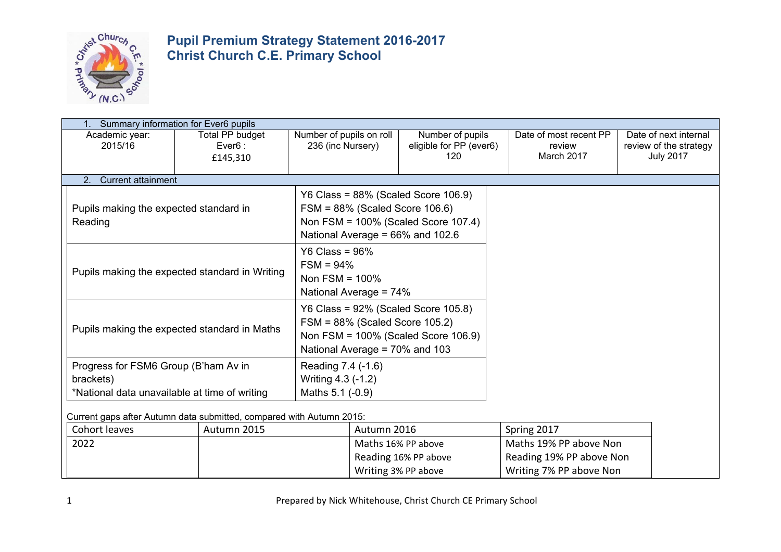

|                                                   | Summary information for Ever6 pupils             |                                                                                                                                                         |                                                    |                                                |                                                                     |
|---------------------------------------------------|--------------------------------------------------|---------------------------------------------------------------------------------------------------------------------------------------------------------|----------------------------------------------------|------------------------------------------------|---------------------------------------------------------------------|
| Academic year:<br>2015/16                         | Total PP budget<br>$Every$ = Ever6 :<br>£145,310 | Number of pupils on roll<br>236 (inc Nursery)                                                                                                           | Number of pupils<br>eligible for PP (ever6)<br>120 | Date of most recent PP<br>review<br>March 2017 | Date of next internal<br>review of the strategy<br><b>July 2017</b> |
| <b>Current attainment</b><br>2.                   |                                                  |                                                                                                                                                         |                                                    |                                                |                                                                     |
| Pupils making the expected standard in<br>Reading |                                                  | Y6 Class = $88\%$ (Scaled Score 106.9)<br>$FSM = 88\%$ (Scaled Score 106.6)<br>Non FSM = 100% (Scaled Score 107.4)<br>National Average = 66% and 102.6  |                                                    |                                                |                                                                     |
| Pupils making the expected standard in Writing    |                                                  | $Y6$ Class = 96%<br>$FSM = 94%$<br>Non FSM = $100\%$<br>National Average = 74%                                                                          |                                                    |                                                |                                                                     |
| Pupils making the expected standard in Maths      |                                                  | Y6 Class = $92\%$ (Scaled Score 105.8)<br>$FSM = 88\%$ (Scaled Score 105.2)<br>Non FSM = 100% (Scaled Score 106.9)<br>National Average = $70\%$ and 103 |                                                    |                                                |                                                                     |
| Progress for FSM6 Group (B'ham Av in<br>brackets) |                                                  | Reading 7.4 (-1.6)<br>Writing 4.3 (-1.2)                                                                                                                |                                                    |                                                |                                                                     |
| *National data unavailable at time of writing     |                                                  | Maths 5.1 (-0.9)                                                                                                                                        |                                                    |                                                |                                                                     |

Current gaps after Autumn data submitted, compared with Autumn 2015:

| Cohort leaves | Autumn 2015 | Autumn 2016          | Spring 2017              |
|---------------|-------------|----------------------|--------------------------|
| 2022          |             | Maths 16% PP above   | Maths 19% PP above Non   |
|               |             | Reading 16% PP above | Reading 19% PP above Non |
|               |             | Writing 3% PP above  | Writing 7% PP above Non  |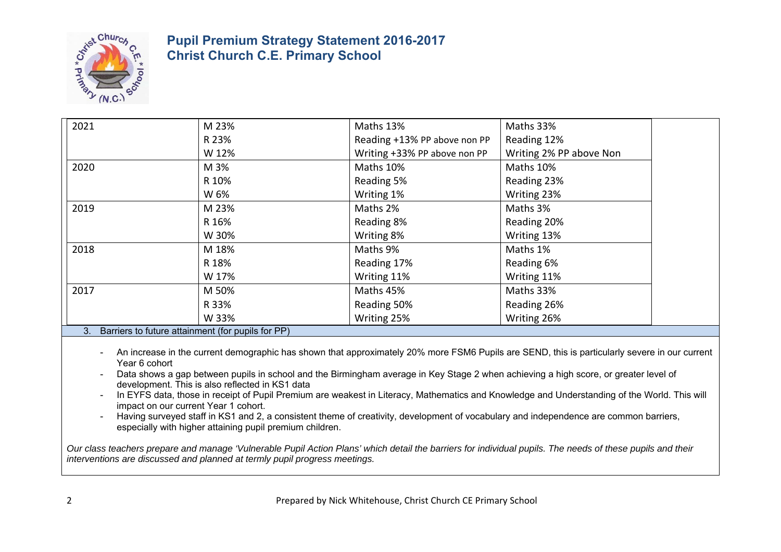

| 2021                                              | M 23% | Maths 13%                    | Maths 33%               |
|---------------------------------------------------|-------|------------------------------|-------------------------|
|                                                   | R 23% | Reading +13% PP above non PP | Reading 12%             |
|                                                   | W 12% | Writing +33% PP above non PP | Writing 2% PP above Non |
| 2020                                              | M 3%  | Maths 10%                    | Maths 10%               |
|                                                   | R 10% | Reading 5%                   | Reading 23%             |
|                                                   | W 6%  | Writing 1%                   | Writing 23%             |
| 2019                                              | M 23% | Maths 2%                     | Maths 3%                |
|                                                   | R 16% | Reading 8%                   | Reading 20%             |
|                                                   | W 30% | Writing 8%                   | Writing 13%             |
| 2018                                              | M 18% | Maths 9%                     | Maths 1%                |
|                                                   | R 18% | Reading 17%                  | Reading 6%              |
|                                                   | W 17% | Writing 11%                  | Writing 11%             |
| 2017                                              | M 50% | Maths 45%                    | Maths 33%               |
|                                                   | R 33% | Reading 50%                  | Reading 26%             |
|                                                   | W 33% | Writing 25%                  | Writing 26%             |
| Barriers to future attainment (for nunils for PP) |       |                              |                         |

#### 3. Barriers to future attainment (for pupils for PP)

- An increase in the current demographic has shown that approximately 20% more FSM6 Pupils are SEND, this is particularly severe in our current Year 6 cohort
- Data shows a gap between pupils in school and the Birmingham average in Key Stage 2 when achieving a high score, or greater level of development. This is also reflected in KS1 data
- In EYFS data, those in receipt of Pupil Premium are weakest in Literacy, Mathematics and Knowledge and Understanding of the World. This will impact on our current Year 1 cohort.
- Having surveyed staff in KS1 and 2, a consistent theme of creativity, development of vocabulary and independence are common barriers, especially with higher attaining pupil premium children.

*Our class teachers prepare and manage 'Vulnerable Pupil Action Plans' which detail the barriers for individual pupils. The needs of these pupils and their interventions are discussed and planned at termly pupil progress meetings.*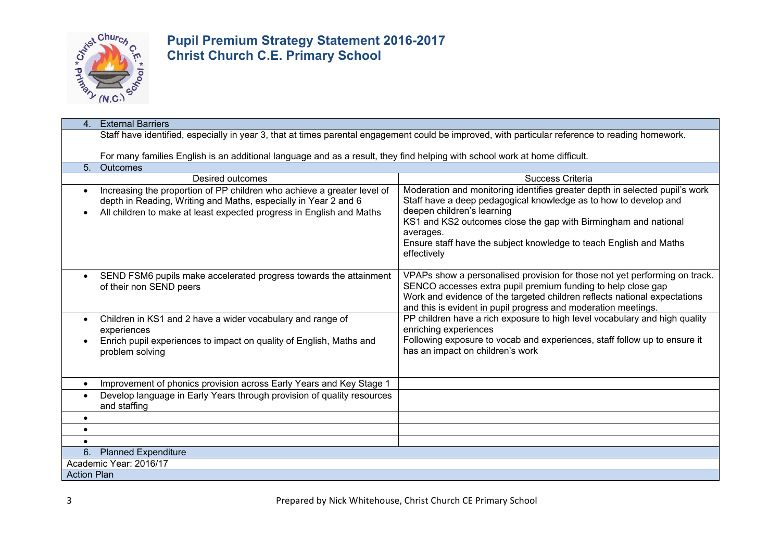

| <b>External Barriers</b><br>$\mathbf{4}$ .                                                                                                                                                                                      |                                                                                                                                                                                                                                                                                                                                                    |  |  |  |  |  |  |
|---------------------------------------------------------------------------------------------------------------------------------------------------------------------------------------------------------------------------------|----------------------------------------------------------------------------------------------------------------------------------------------------------------------------------------------------------------------------------------------------------------------------------------------------------------------------------------------------|--|--|--|--|--|--|
| Staff have identified, especially in year 3, that at times parental engagement could be improved, with particular reference to reading homework.                                                                                |                                                                                                                                                                                                                                                                                                                                                    |  |  |  |  |  |  |
|                                                                                                                                                                                                                                 |                                                                                                                                                                                                                                                                                                                                                    |  |  |  |  |  |  |
| For many families English is an additional language and as a result, they find helping with school work at home difficult.                                                                                                      |                                                                                                                                                                                                                                                                                                                                                    |  |  |  |  |  |  |
| 5.<br><b>Outcomes</b>                                                                                                                                                                                                           |                                                                                                                                                                                                                                                                                                                                                    |  |  |  |  |  |  |
| <b>Desired outcomes</b>                                                                                                                                                                                                         | Success Criteria                                                                                                                                                                                                                                                                                                                                   |  |  |  |  |  |  |
| Increasing the proportion of PP children who achieve a greater level of<br>$\bullet$<br>depth in Reading, Writing and Maths, especially in Year 2 and 6<br>All children to make at least expected progress in English and Maths | Moderation and monitoring identifies greater depth in selected pupil's work<br>Staff have a deep pedagogical knowledge as to how to develop and<br>deepen children's learning<br>KS1 and KS2 outcomes close the gap with Birmingham and national<br>averages.<br>Ensure staff have the subject knowledge to teach English and Maths<br>effectively |  |  |  |  |  |  |
| SEND FSM6 pupils make accelerated progress towards the attainment<br>$\bullet$<br>of their non SEND peers                                                                                                                       | VPAPs show a personalised provision for those not yet performing on track.<br>SENCO accesses extra pupil premium funding to help close gap<br>Work and evidence of the targeted children reflects national expectations<br>and this is evident in pupil progress and moderation meetings.                                                          |  |  |  |  |  |  |
| Children in KS1 and 2 have a wider vocabulary and range of<br>$\bullet$<br>experiences<br>Enrich pupil experiences to impact on quality of English, Maths and<br>problem solving                                                | PP children have a rich exposure to high level vocabulary and high quality<br>enriching experiences<br>Following exposure to vocab and experiences, staff follow up to ensure it<br>has an impact on children's work                                                                                                                               |  |  |  |  |  |  |
| Improvement of phonics provision across Early Years and Key Stage 1<br>$\bullet$                                                                                                                                                |                                                                                                                                                                                                                                                                                                                                                    |  |  |  |  |  |  |
| Develop language in Early Years through provision of quality resources<br>$\bullet$<br>and staffing                                                                                                                             |                                                                                                                                                                                                                                                                                                                                                    |  |  |  |  |  |  |
| $\bullet$                                                                                                                                                                                                                       |                                                                                                                                                                                                                                                                                                                                                    |  |  |  |  |  |  |
| $\bullet$                                                                                                                                                                                                                       |                                                                                                                                                                                                                                                                                                                                                    |  |  |  |  |  |  |
| $\bullet$                                                                                                                                                                                                                       |                                                                                                                                                                                                                                                                                                                                                    |  |  |  |  |  |  |
| 6.<br><b>Planned Expenditure</b>                                                                                                                                                                                                |                                                                                                                                                                                                                                                                                                                                                    |  |  |  |  |  |  |
| Academic Year: 2016/17                                                                                                                                                                                                          |                                                                                                                                                                                                                                                                                                                                                    |  |  |  |  |  |  |
| <b>Action Plan</b>                                                                                                                                                                                                              |                                                                                                                                                                                                                                                                                                                                                    |  |  |  |  |  |  |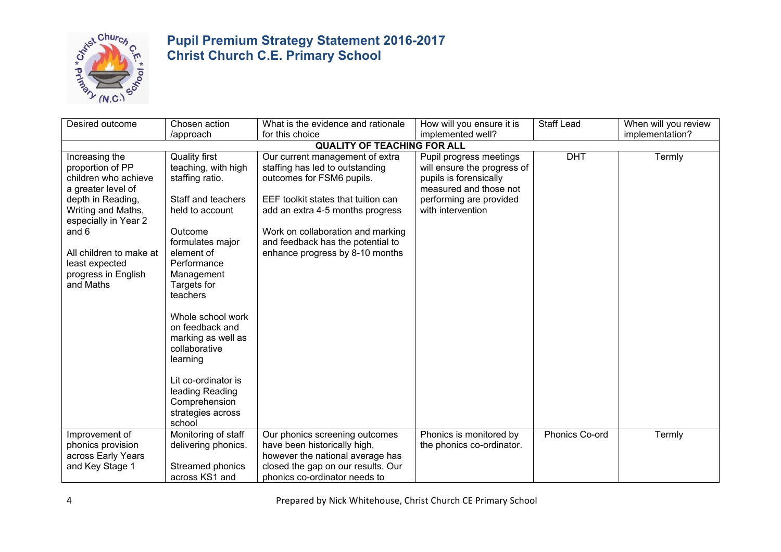

| Desired outcome<br>Chosen action<br>What is the evidence and rationale                                                                                                                                                                        |                                                                                                                                                                                                                                                                                                                                | How will you ensure it is                                                                                                                                                                                                                                                               | <b>Staff Lead</b>                                                                                                                                          | When will you review |                 |
|-----------------------------------------------------------------------------------------------------------------------------------------------------------------------------------------------------------------------------------------------|--------------------------------------------------------------------------------------------------------------------------------------------------------------------------------------------------------------------------------------------------------------------------------------------------------------------------------|-----------------------------------------------------------------------------------------------------------------------------------------------------------------------------------------------------------------------------------------------------------------------------------------|------------------------------------------------------------------------------------------------------------------------------------------------------------|----------------------|-----------------|
|                                                                                                                                                                                                                                               | /approach                                                                                                                                                                                                                                                                                                                      | for this choice                                                                                                                                                                                                                                                                         | implemented well?                                                                                                                                          |                      | implementation? |
|                                                                                                                                                                                                                                               |                                                                                                                                                                                                                                                                                                                                | <b>QUALITY OF TEACHING FOR ALL</b>                                                                                                                                                                                                                                                      |                                                                                                                                                            |                      |                 |
| Increasing the<br>proportion of PP<br>children who achieve<br>a greater level of<br>depth in Reading,<br>Writing and Maths,<br>especially in Year 2<br>and 6<br>All children to make at<br>least expected<br>progress in English<br>and Maths | <b>Quality first</b><br>teaching, with high<br>staffing ratio.<br>Staff and teachers<br>held to account<br>Outcome<br>formulates major<br>element of<br>Performance<br>Management<br>Targets for<br>teachers<br>Whole school work<br>on feedback and<br>marking as well as<br>collaborative<br>learning<br>Lit co-ordinator is | Our current management of extra<br>staffing has led to outstanding<br>outcomes for FSM6 pupils.<br>EEF toolkit states that tuition can<br>add an extra 4-5 months progress<br>Work on collaboration and marking<br>and feedback has the potential to<br>enhance progress by 8-10 months | Pupil progress meetings<br>will ensure the progress of<br>pupils is forensically<br>measured and those not<br>performing are provided<br>with intervention | <b>DHT</b>           | Termly          |
|                                                                                                                                                                                                                                               | leading Reading<br>Comprehension<br>strategies across<br>school                                                                                                                                                                                                                                                                |                                                                                                                                                                                                                                                                                         |                                                                                                                                                            |                      |                 |
| Improvement of<br>phonics provision<br>across Early Years<br>and Key Stage 1                                                                                                                                                                  | Monitoring of staff<br>delivering phonics.<br>Streamed phonics<br>across KS1 and                                                                                                                                                                                                                                               | Our phonics screening outcomes<br>have been historically high,<br>however the national average has<br>closed the gap on our results. Our<br>phonics co-ordinator needs to                                                                                                               | Phonics is monitored by<br>the phonics co-ordinator.                                                                                                       | Phonics Co-ord       | Termly          |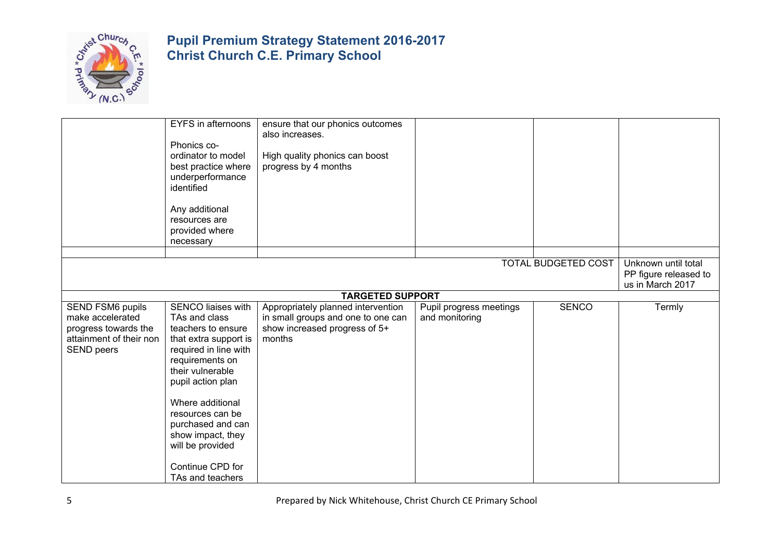

|                                                                                                                     | <b>EYFS</b> in afternoons<br>Phonics co-<br>ordinator to model<br>best practice where<br>underperformance<br>identified<br>Any additional<br>resources are<br>provided where<br>necessary                                                                                                                                    | ensure that our phonics outcomes<br>also increases.<br>High quality phonics can boost<br>progress by 4 months       |                                           |                            |                                                                  |
|---------------------------------------------------------------------------------------------------------------------|------------------------------------------------------------------------------------------------------------------------------------------------------------------------------------------------------------------------------------------------------------------------------------------------------------------------------|---------------------------------------------------------------------------------------------------------------------|-------------------------------------------|----------------------------|------------------------------------------------------------------|
|                                                                                                                     |                                                                                                                                                                                                                                                                                                                              |                                                                                                                     |                                           |                            |                                                                  |
|                                                                                                                     |                                                                                                                                                                                                                                                                                                                              |                                                                                                                     |                                           | <b>TOTAL BUDGETED COST</b> | Unknown until total<br>PP figure released to<br>us in March 2017 |
|                                                                                                                     |                                                                                                                                                                                                                                                                                                                              | <b>TARGETED SUPPORT</b>                                                                                             |                                           |                            |                                                                  |
| <b>SEND FSM6 pupils</b><br>make accelerated<br>progress towards the<br>attainment of their non<br><b>SEND peers</b> | <b>SENCO liaises with</b><br>TAs and class<br>teachers to ensure<br>that extra support is<br>required in line with<br>requirements on<br>their vulnerable<br>pupil action plan<br>Where additional<br>resources can be<br>purchased and can<br>show impact, they<br>will be provided<br>Continue CPD for<br>TAs and teachers | Appropriately planned intervention<br>in small groups and one to one can<br>show increased progress of 5+<br>months | Pupil progress meetings<br>and monitoring | <b>SENCO</b>               | Termly                                                           |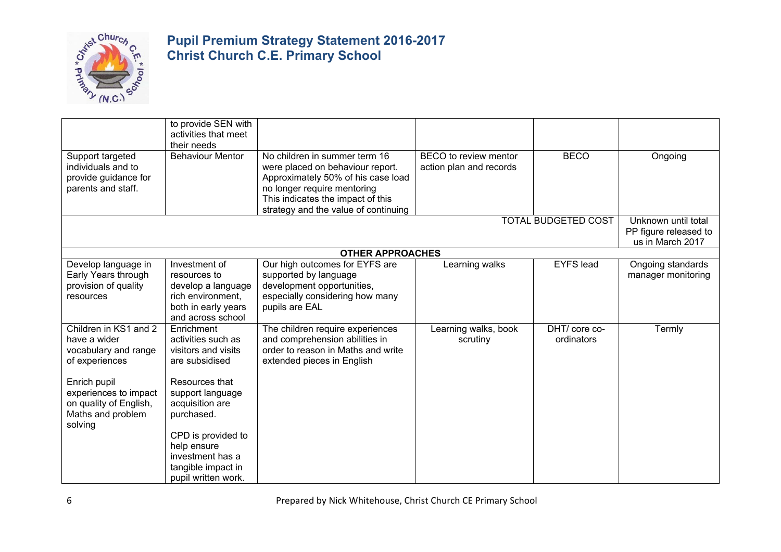

|                                                                                                                                                                                    | to provide SEN with<br>activities that meet                                                                                                                                                                                                            |                                                                                                                                                                                                                     |                                                  |                             |                                                                  |
|------------------------------------------------------------------------------------------------------------------------------------------------------------------------------------|--------------------------------------------------------------------------------------------------------------------------------------------------------------------------------------------------------------------------------------------------------|---------------------------------------------------------------------------------------------------------------------------------------------------------------------------------------------------------------------|--------------------------------------------------|-----------------------------|------------------------------------------------------------------|
| Support targeted<br>individuals and to<br>provide guidance for<br>parents and staff.                                                                                               | their needs<br><b>Behaviour Mentor</b>                                                                                                                                                                                                                 | No children in summer term 16<br>were placed on behaviour report.<br>Approximately 50% of his case load<br>no longer require mentoring<br>This indicates the impact of this<br>strategy and the value of continuing | BECO to review mentor<br>action plan and records | <b>BECO</b>                 | Ongoing                                                          |
|                                                                                                                                                                                    |                                                                                                                                                                                                                                                        |                                                                                                                                                                                                                     |                                                  | <b>TOTAL BUDGETED COST</b>  | Unknown until total<br>PP figure released to<br>us in March 2017 |
|                                                                                                                                                                                    |                                                                                                                                                                                                                                                        | <b>OTHER APPROACHES</b>                                                                                                                                                                                             |                                                  |                             |                                                                  |
| Develop language in<br>Early Years through<br>provision of quality<br>resources                                                                                                    | Investment of<br>resources to<br>develop a language<br>rich environment,<br>both in early years<br>and across school                                                                                                                                   | Our high outcomes for EYFS are<br>supported by language<br>development opportunities,<br>especially considering how many<br>pupils are EAL                                                                          | Learning walks                                   | <b>EYFS</b> lead            | Ongoing standards<br>manager monitoring                          |
| Children in KS1 and 2<br>have a wider<br>vocabulary and range<br>of experiences<br>Enrich pupil<br>experiences to impact<br>on quality of English,<br>Maths and problem<br>solving | Enrichment<br>activities such as<br>visitors and visits<br>are subsidised<br>Resources that<br>support language<br>acquisition are<br>purchased.<br>CPD is provided to<br>help ensure<br>investment has a<br>tangible impact in<br>pupil written work. | The children require experiences<br>and comprehension abilities in<br>order to reason in Maths and write<br>extended pieces in English                                                                              | Learning walks, book<br>scrutiny                 | DHT/ core co-<br>ordinators | Termly                                                           |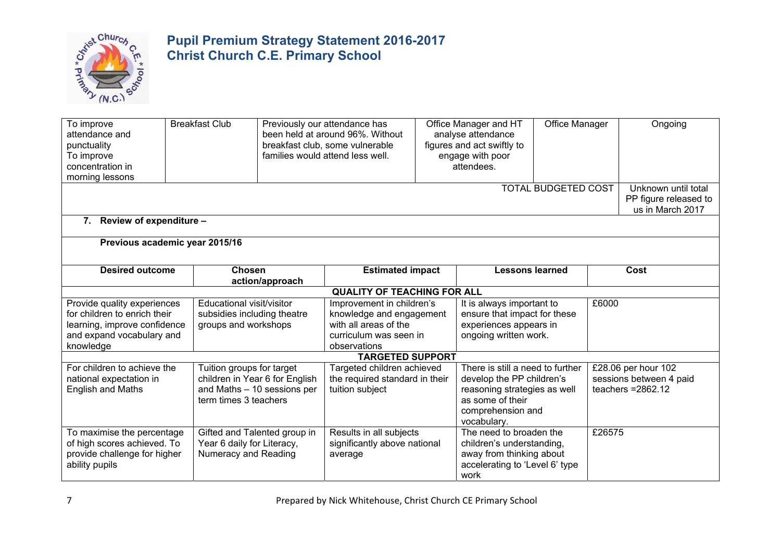

| To improve<br>attendance and<br>punctuality<br>To improve<br>concentration in<br>morning lessons                                      | <b>Breakfast Club</b><br>Previously our attendance has<br>Office Manager and HT<br>been held at around 96%. Without<br>analyse attendance<br>figures and act swiftly to<br>breakfast club, some vulnerable<br>families would attend less well.<br>engage with poor<br>attendees.                                             |                                                               | Office Manager<br><b>TOTAL BUDGETED COST</b>                                    |  |                                                                                                                                                       | Ongoing<br>Unknown until total |        |                                                                        |
|---------------------------------------------------------------------------------------------------------------------------------------|------------------------------------------------------------------------------------------------------------------------------------------------------------------------------------------------------------------------------------------------------------------------------------------------------------------------------|---------------------------------------------------------------|---------------------------------------------------------------------------------|--|-------------------------------------------------------------------------------------------------------------------------------------------------------|--------------------------------|--------|------------------------------------------------------------------------|
|                                                                                                                                       |                                                                                                                                                                                                                                                                                                                              |                                                               |                                                                                 |  |                                                                                                                                                       |                                |        | PP figure released to<br>us in March 2017                              |
| 7. Review of expenditure -                                                                                                            |                                                                                                                                                                                                                                                                                                                              |                                                               |                                                                                 |  |                                                                                                                                                       |                                |        |                                                                        |
| Previous academic year 2015/16                                                                                                        |                                                                                                                                                                                                                                                                                                                              |                                                               |                                                                                 |  |                                                                                                                                                       |                                |        |                                                                        |
| <b>Desired outcome</b>                                                                                                                | <b>Chosen</b>                                                                                                                                                                                                                                                                                                                | action/approach                                               | <b>Estimated impact</b>                                                         |  | <b>Lessons learned</b>                                                                                                                                |                                |        | Cost                                                                   |
|                                                                                                                                       |                                                                                                                                                                                                                                                                                                                              |                                                               | <b>QUALITY OF TEACHING FOR ALL</b>                                              |  |                                                                                                                                                       |                                |        |                                                                        |
| Provide quality experiences<br>for children to enrich their<br>learning, improve confidence<br>and expand vocabulary and<br>knowledge | Educational visit/visitor<br>It is always important to<br>Improvement in children's<br>subsidies including theatre<br>knowledge and engagement<br>ensure that impact for these<br>with all areas of the<br>experiences appears in<br>groups and workshops<br>ongoing written work.<br>curriculum was seen in<br>observations |                                                               | £6000                                                                           |  |                                                                                                                                                       |                                |        |                                                                        |
|                                                                                                                                       |                                                                                                                                                                                                                                                                                                                              |                                                               | <b>TARGETED SUPPORT</b>                                                         |  |                                                                                                                                                       |                                |        |                                                                        |
| For children to achieve the<br>national expectation in<br><b>English and Maths</b>                                                    | Tuition groups for target<br>term times 3 teachers                                                                                                                                                                                                                                                                           | children in Year 6 for English<br>and Maths - 10 sessions per | Targeted children achieved<br>the required standard in their<br>tuition subject |  | There is still a need to further<br>develop the PP children's<br>reasoning strategies as well<br>as some of their<br>comprehension and<br>vocabulary. |                                |        | £28.06 per hour 102<br>sessions between 4 paid<br>teachers $= 2862.12$ |
| To maximise the percentage<br>of high scores achieved. To<br>provide challenge for higher<br>ability pupils                           | Year 6 daily for Literacy,<br>Numeracy and Reading                                                                                                                                                                                                                                                                           | Gifted and Talented group in                                  | Results in all subjects<br>significantly above national<br>average              |  | The need to broaden the<br>children's understanding,<br>away from thinking about<br>accelerating to 'Level 6' type<br>work                            |                                | £26575 |                                                                        |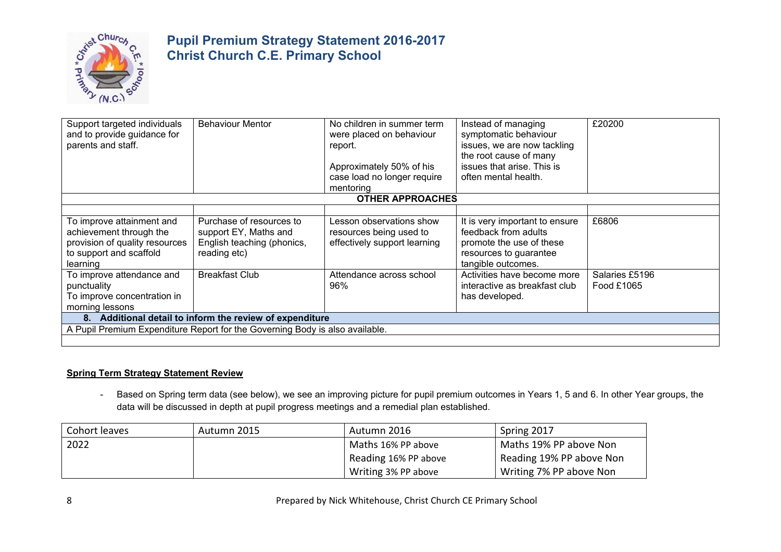

| Support targeted individuals<br>and to provide guidance for<br>parents and staff.                                             | <b>Behaviour Mentor</b>                                                                         | No children in summer term<br>were placed on behaviour<br>report.<br>Approximately 50% of his<br>case load no longer require<br>mentoring | Instead of managing<br>symptomatic behaviour<br>issues, we are now tackling<br>the root cause of many<br>issues that arise. This is<br>often mental health. | £20200                       |  |  |  |
|-------------------------------------------------------------------------------------------------------------------------------|-------------------------------------------------------------------------------------------------|-------------------------------------------------------------------------------------------------------------------------------------------|-------------------------------------------------------------------------------------------------------------------------------------------------------------|------------------------------|--|--|--|
|                                                                                                                               |                                                                                                 | <b>OTHER APPROACHES</b>                                                                                                                   |                                                                                                                                                             |                              |  |  |  |
|                                                                                                                               |                                                                                                 |                                                                                                                                           |                                                                                                                                                             |                              |  |  |  |
| To improve attainment and<br>achievement through the<br>provision of quality resources<br>to support and scaffold<br>learning | Purchase of resources to<br>support EY, Maths and<br>English teaching (phonics,<br>reading etc) | Lesson observations show<br>resources being used to<br>effectively support learning                                                       | It is very important to ensure<br>feedback from adults<br>promote the use of these<br>resources to guarantee<br>tangible outcomes.                          | £6806                        |  |  |  |
| To improve attendance and<br>punctuality<br>To improve concentration in<br>morning lessons                                    | <b>Breakfast Club</b>                                                                           | Attendance across school<br>96%                                                                                                           | Activities have become more<br>interactive as breakfast club<br>has developed.                                                                              | Salaries £5196<br>Food £1065 |  |  |  |
| 8. Additional detail to inform the review of expenditure                                                                      |                                                                                                 |                                                                                                                                           |                                                                                                                                                             |                              |  |  |  |
|                                                                                                                               | A Pupil Premium Expenditure Report for the Governing Body is also available.                    |                                                                                                                                           |                                                                                                                                                             |                              |  |  |  |
|                                                                                                                               |                                                                                                 |                                                                                                                                           |                                                                                                                                                             |                              |  |  |  |

#### **Spring Term Strategy Statement Review**

- Based on Spring term data (see below), we see an improving picture for pupil premium outcomes in Years 1, 5 and 6. In other Year groups, the data will be discussed in depth at pupil progress meetings and a remedial plan established.

| Cohort leaves | Autumn 2015 | Autumn 2016          | Spring 2017              |
|---------------|-------------|----------------------|--------------------------|
| 2022          |             | Maths 16% PP above   | Maths 19% PP above Non   |
|               |             | Reading 16% PP above | Reading 19% PP above Non |
|               |             | Writing 3% PP above  | Writing 7% PP above Non  |